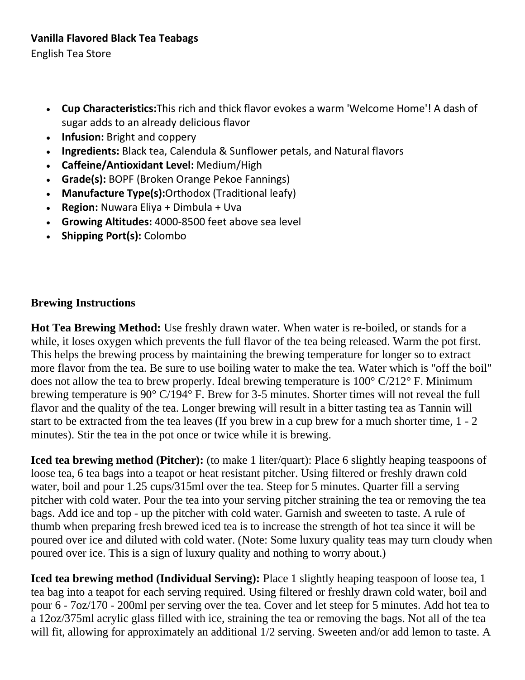English Tea Store

- **Cup Characteristics:**This rich and thick flavor evokes a warm 'Welcome Home'! A dash of sugar adds to an already delicious flavor
- **Infusion:** Bright and coppery
- **Ingredients:** Black tea, Calendula & Sunflower petals, and Natural flavors
- **Caffeine/Antioxidant Level:** Medium/High
- **Grade(s):** BOPF (Broken Orange Pekoe Fannings)
- **Manufacture Type(s):**Orthodox (Traditional leafy)
- **Region:** Nuwara Eliya + Dimbula + Uva
- **Growing Altitudes:** 4000-8500 feet above sea level
- **Shipping Port(s):** Colombo

## **Brewing Instructions**

**Hot Tea Brewing Method:** Use freshly drawn water. When water is re-boiled, or stands for a while, it loses oxygen which prevents the full flavor of the tea being released. Warm the pot first. This helps the brewing process by maintaining the brewing temperature for longer so to extract more flavor from the tea. Be sure to use boiling water to make the tea. Water which is "off the boil" does not allow the tea to brew properly. Ideal brewing temperature is 100° C/212° F. Minimum brewing temperature is 90° C/194° F. Brew for 3-5 minutes. Shorter times will not reveal the full flavor and the quality of the tea. Longer brewing will result in a bitter tasting tea as Tannin will start to be extracted from the tea leaves (If you brew in a cup brew for a much shorter time, 1 - 2 minutes). Stir the tea in the pot once or twice while it is brewing.

**Iced tea brewing method (Pitcher):** (to make 1 liter/quart): Place 6 slightly heaping teaspoons of loose tea, 6 tea bags into a teapot or heat resistant pitcher. Using filtered or freshly drawn cold water, boil and pour 1.25 cups/315ml over the tea. Steep for 5 minutes. Quarter fill a serving pitcher with cold water. Pour the tea into your serving pitcher straining the tea or removing the tea bags. Add ice and top - up the pitcher with cold water. Garnish and sweeten to taste. A rule of thumb when preparing fresh brewed iced tea is to increase the strength of hot tea since it will be poured over ice and diluted with cold water. (Note: Some luxury quality teas may turn cloudy when poured over ice. This is a sign of luxury quality and nothing to worry about.)

**Iced tea brewing method (Individual Serving):** Place 1 slightly heaping teaspoon of loose tea, 1 tea bag into a teapot for each serving required. Using filtered or freshly drawn cold water, boil and pour 6 - 7oz/170 - 200ml per serving over the tea. Cover and let steep for 5 minutes. Add hot tea to a 12oz/375ml acrylic glass filled with ice, straining the tea or removing the bags. Not all of the tea will fit, allowing for approximately an additional  $1/2$  serving. Sweeten and/or add lemon to taste. A